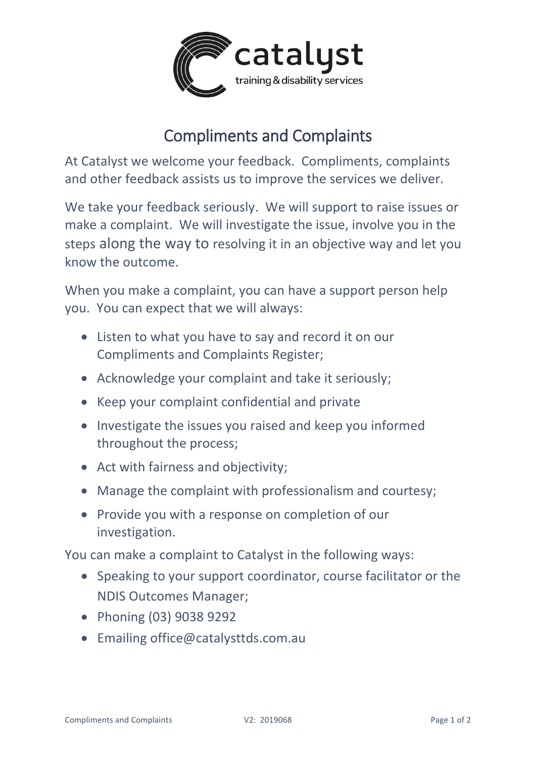

## Compliments and Complaints

At Catalyst we welcome your feedback. Compliments, complaints and other feedback assists us to improve the services we deliver.

We take your feedback seriously. We will support to raise issues or make a complaint. We will investigate the issue, involve you in the steps along the way to resolving it in an objective way and let you know the outcome.

When you make a complaint, you can have a support person help you. You can expect that we will always:

- Listen to what you have to say and record it on our Compliments and Complaints Register;
- Acknowledge your complaint and take it seriously;
- Keep your complaint confidential and private
- Investigate the issues you raised and keep you informed throughout the process;
- Act with fairness and objectivity;
- Manage the complaint with professionalism and courtesy;
- Provide you with a response on completion of our investigation.

You can make a complaint to Catalyst in the following ways:

- Speaking to your support coordinator, course facilitator or the NDIS Outcomes Manager;
- Phoning (03) 9038 9292
- Emailing office@catalysttds.com.au